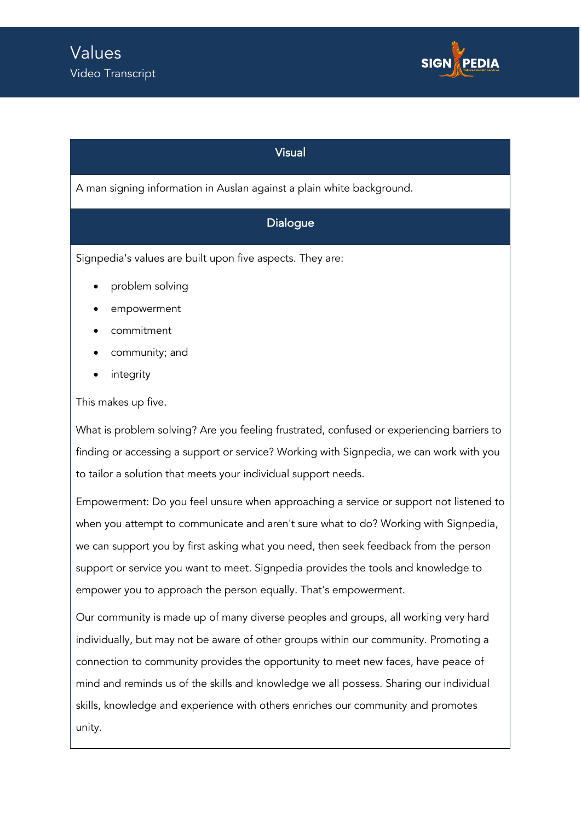

## Visual

A man signing information in Auslan against a plain white background.

## Dialogue

Signpedia's values are built upon five aspects. They are:

- problem solving
- empowerment
- commitment
- community; and
- *integrity*

This makes up five.

What is problem solving? Are you feeling frustrated, confused or experiencing barriers to finding or accessing a support or service? Working with Signpedia, we can work with you to tailor a solution that meets your individual support needs.

Empowerment: Do you feel unsure when approaching a service or support not listened to when you attempt to communicate and aren't sure what to do? Working with Signpedia, we can support you by first asking what you need, then seek feedback from the person support or service you want to meet. Signpedia provides the tools and knowledge to empower you to approach the person equally. That's empowerment.

Our community is made up of many diverse peoples and groups, all working very hard individually, but may not be aware of other groups within our community. Promoting a connection to community provides the opportunity to meet new faces, have peace of mind and reminds us of the skills and knowledge we all possess. Sharing our individual skills, knowledge and experience with others enriches our community and promotes unity.